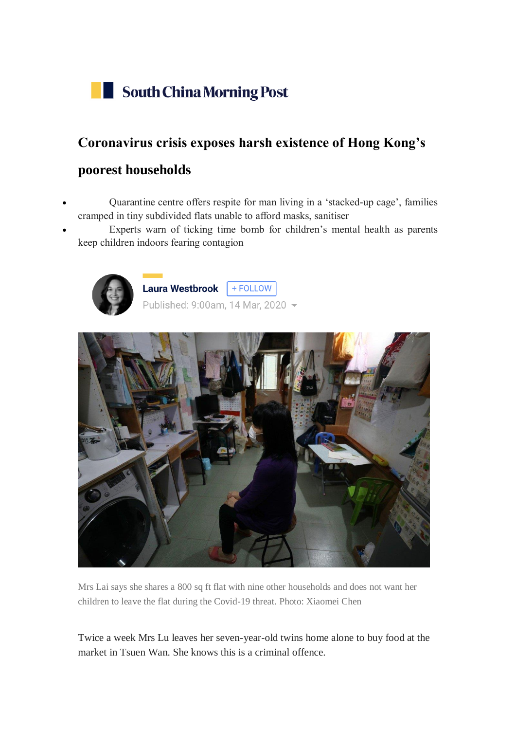

## **Coronavirus crisis exposes harsh existence of Hong Kong's**

## **poorest households**

- Quarantine centre offers respite for man living in a 'stacked-up cage', families cramped in tiny subdivided flats unable to afford masks, sanitiser
- Experts warn of ticking time bomb for children's mental health as parents keep children indoors fearing contagion



Laura Westbrook | + FOLLOW Published: 9:00am, 14 Mar, 2020 -



Mrs Lai says she shares a 800 sq ft flat with nine other households and does not want her children to leave the flat during the Covid-19 threat. Photo: Xiaomei Chen

Twice a week Mrs Lu leaves her seven-year-old twins home alone to buy food at the market in Tsuen Wan. She knows this is a criminal offence.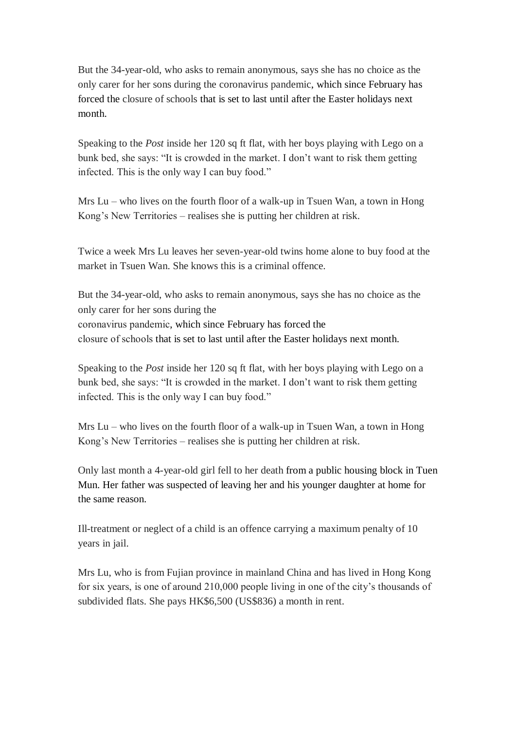But the 34-year-old, who asks to remain anonymous, says she has no choice as the only carer for her sons during the [coronavirus pandemic,](https://www.scmp.com/topics/coronavirus-outbreak-all-stories) which since February has forced the [closure of schools](https://www.scmp.com/news/hong-kong/education/article/3052199/coronavirus-hong-kong-school-closures-extend-beyond-easter) that is set to last until after the Easter holidays next month.

Speaking to the *Post* inside her 120 sq ft flat, with her boys playing with Lego on a bunk bed, she says: "It is crowded in the market. I don't want to risk them getting infected. This is the only way I can buy food."

Mrs Lu – who lives on the fourth floor of a walk-up in Tsuen Wan, a town in Hong Kong's New Territories – realises she is putting her children at risk.

Twice a week Mrs Lu leaves her seven-year-old twins home alone to buy food at the market in Tsuen Wan. She knows this is a criminal offence.

But the 34-year-old, who asks to remain anonymous, says she has no choice as the only carer for her sons during the [coronavirus pandemic,](https://www.scmp.com/topics/coronavirus-outbreak-all-stories) which since February has forced the [closure of schools](https://www.scmp.com/news/hong-kong/education/article/3052199/coronavirus-hong-kong-school-closures-extend-beyond-easter) that is set to last until after the Easter holidays next month.

Speaking to the *Post* inside her 120 sq ft flat, with her boys playing with Lego on a bunk bed, she says: "It is crowded in the market. I don't want to risk them getting infected. This is the only way I can buy food."

Mrs Lu – who lives on the fourth floor of a walk-up in Tsuen Wan, a town in Hong Kong's New Territories – realises she is putting her children at risk.

Only last month a [4-year-old girl fell to her](https://www.scmp.com/news/hong-kong/law-and-crime/article/3051828/girl-4-falls-death-15th-floor-flat-hong-kong-father) death from a public housing block in Tuen Mun. Her father was suspected of leaving her and his younger daughter at home for the same reason.

Ill-treatment or neglect of a child is an offence carrying a maximum penalty of 10 years in jail.

Mrs Lu, who is from Fujian province in mainland China and has lived in Hong Kong for six years, is one of around 210,000 people living in one of the city's thousands of subdivided flats. She pays HK\$6,500 (US\$836) a month in rent.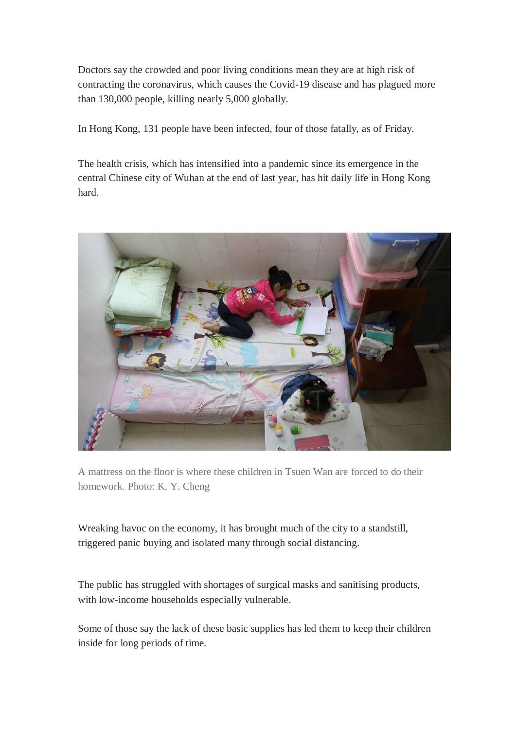Doctors say the crowded and poor living conditions mean they are at high risk of contracting the coronavirus, which causes the Covid-19 disease and has plagued more than 130,000 people, killing nearly 5,000 globally.

In Hong Kong, 131 people have been infected, four of those fatally, as of Friday.

The health crisis, which has intensified into a pandemic since its emergence in the central Chinese city of Wuhan at the end of last year, has hit daily life in Hong Kong hard.



A mattress on the floor is where these children in Tsuen Wan are forced to do their homework. Photo: K. Y. Cheng

Wreaking havoc on the economy, it has brought much of the city to a standstill, triggered panic buying and isolated many through social distancing.

The public has struggled with shortages of surgical masks and sanitising products, with low-income households especially vulnerable.

Some of those say the lack of these basic supplies has led them to keep their children inside for long periods of time.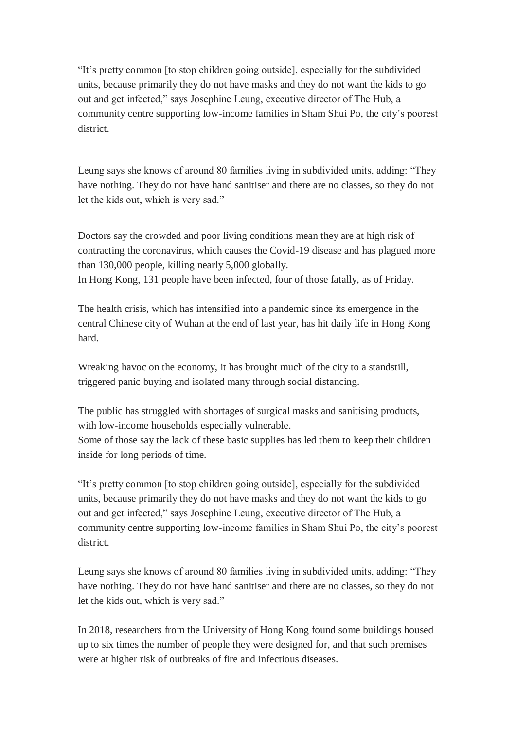"It's pretty common [to stop children going outside], especially for the subdivided units, because primarily they do not have masks and they do not want the kids to go out and get infected," says Josephine Leung, executive director of The Hub, a community centre supporting low-income families in Sham Shui Po, the city's poorest district.

Leung says she knows of around 80 families living in subdivided units, adding: "They have nothing. They do not have hand sanitiser and there are no classes, so they do not let the kids out, which is very sad."

Doctors say the crowded and poor living conditions mean they are at high risk of contracting the coronavirus, which causes the Covid-19 disease and has plagued more than 130,000 people, killing nearly 5,000 globally. In Hong Kong, 131 people have been infected, four of those fatally, as of Friday.

The health crisis, which has intensified into a pandemic since its emergence in the central Chinese city of Wuhan at the end of last year, has hit daily life in Hong Kong hard.

Wreaking havoc on the economy, it has brought much of the city to a standstill, triggered panic buying and isolated many through social distancing.

The public has struggled with shortages of surgical masks and sanitising products, with low-income households especially vulnerable.

Some of those say the lack of these basic supplies has led them to keep their children inside for long periods of time.

"It's pretty common [to stop children going outside], especially for the subdivided units, because primarily they do not have masks and they do not want the kids to go out and get infected," says Josephine Leung, executive director of The Hub, a community centre supporting low-income families in Sham Shui Po, the city's poorest district.

Leung says she knows of around 80 families living in subdivided units, adding: "They have nothing. They do not have hand sanitiser and there are no classes, so they do not let the kids out, which is very sad."

In 2018, researchers from the University of Hong Kong found some buildings housed up to six times the number of people they were designed for, and that such premises were at higher risk of outbreaks of fire and infectious diseases.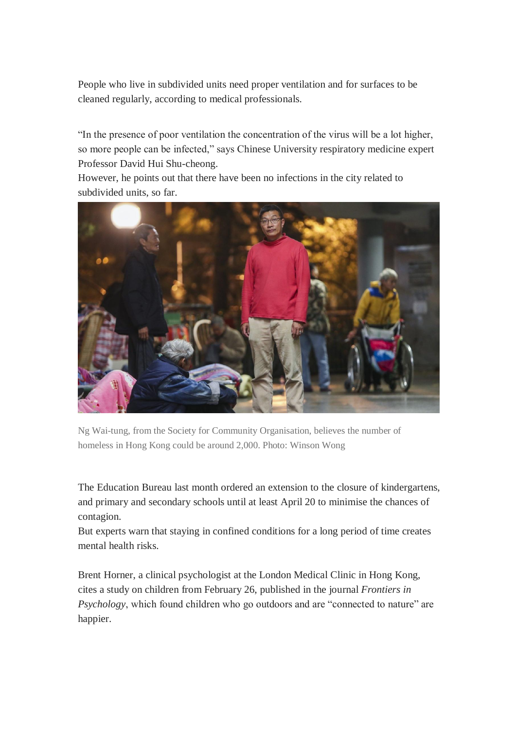People who live in subdivided units need proper ventilation and for surfaces to be cleaned regularly, according to medical professionals.

"In the presence of poor ventilation the concentration of the virus will be a lot higher, so more people can be infected," says Chinese University respiratory medicine expert Professor David Hui Shu-cheong.

However, he points out that there have been no infections in the city related to subdivided units, so far.



Ng Wai-tung, from the Society for Community Organisation, believes the number of homeless in Hong Kong could be around 2,000. Photo: Winson Wong

The Education Bureau last month ordered an extension to the closure of kindergartens, and primary and secondary schools until at least April 20 to minimise the chances of contagion.

But experts warn that staying in confined conditions for a long period of time creates mental health risks.

Brent Horner, a clinical psychologist at the London Medical Clinic in Hong Kong, cites a study on children from February 26, published in the journal *Frontiers in Psychology*, which found children who go outdoors and are "connected to nature" are happier.